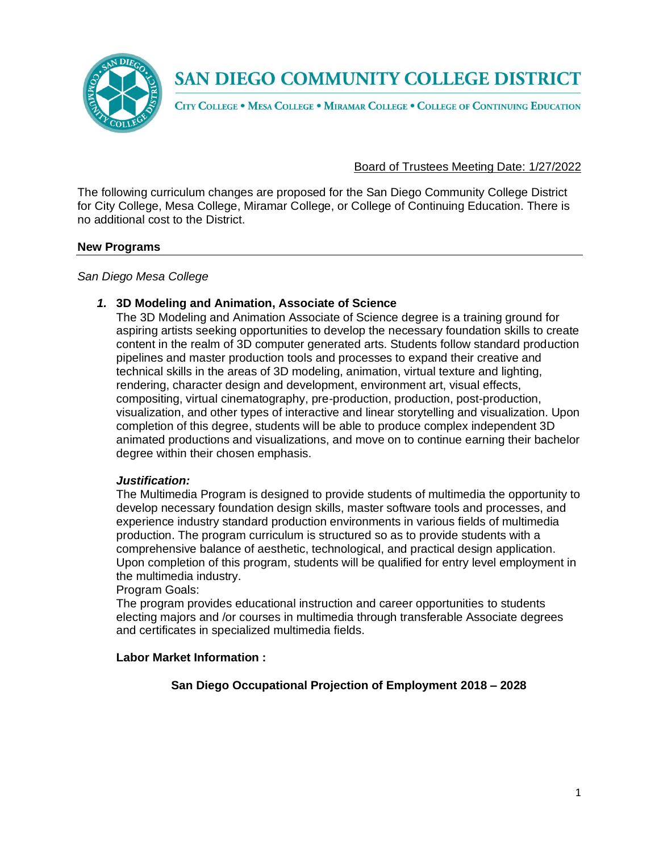

CITY COLLEGE . MESA COLLEGE . MIRAMAR COLLEGE . COLLEGE OF CONTINUING EDUCATION

#### Board of Trustees Meeting Date: 1/27/2022

The following curriculum changes are proposed for the San Diego Community College District for City College, Mesa College, Miramar College, or College of Continuing Education. There is no additional cost to the District.

#### **New Programs**

#### *San Diego Mesa College*

#### *1.* **3D Modeling and Animation, Associate of Science**

The 3D Modeling and Animation Associate of Science degree is a training ground for aspiring artists seeking opportunities to develop the necessary foundation skills to create content in the realm of 3D computer generated arts. Students follow standard production pipelines and master production tools and processes to expand their creative and technical skills in the areas of 3D modeling, animation, virtual texture and lighting, rendering, character design and development, environment art, visual effects, compositing, virtual cinematography, pre-production, production, post-production, visualization, and other types of interactive and linear storytelling and visualization. Upon completion of this degree, students will be able to produce complex independent 3D animated productions and visualizations, and move on to continue earning their bachelor degree within their chosen emphasis.

#### *Justification:*

The Multimedia Program is designed to provide students of multimedia the opportunity to develop necessary foundation design skills, master software tools and processes, and experience industry standard production environments in various fields of multimedia production. The program curriculum is structured so as to provide students with a comprehensive balance of aesthetic, technological, and practical design application. Upon completion of this program, students will be qualified for entry level employment in the multimedia industry.

#### Program Goals:

The program provides educational instruction and career opportunities to students electing majors and /or courses in multimedia through transferable Associate degrees and certificates in specialized multimedia fields.

#### **Labor Market Information :**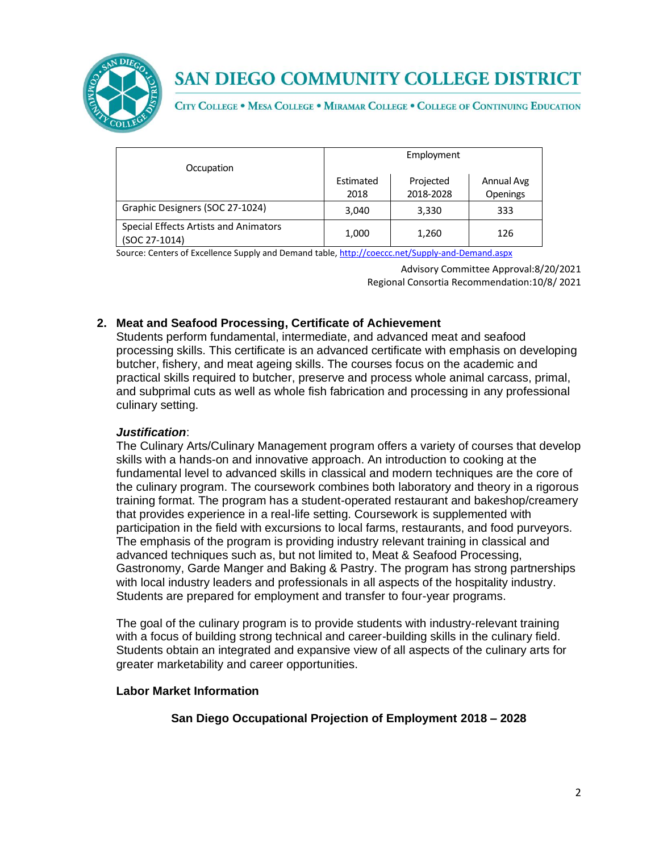

CITY COLLEGE . MESA COLLEGE . MIRAMAR COLLEGE . COLLEGE OF CONTINUING EDUCATION

|                                                        |           | Employment |                 |
|--------------------------------------------------------|-----------|------------|-----------------|
| Occupation                                             |           |            |                 |
|                                                        | Estimated | Projected  | Annual Avg      |
|                                                        | 2018      | 2018-2028  | <b>Openings</b> |
| Graphic Designers (SOC 27-1024)                        | 3,040     | 3,330      | 333             |
| Special Effects Artists and Animators<br>(SOC 27-1014) | 1,000     | 1,260      | 126             |

Source: Centers of Excellence Supply and Demand table, <http://coeccc.net/Supply-and-Demand.aspx>

Advisory Committee Approval:8/20/2021 Regional Consortia Recommendation:10/8/ 2021

## **2. Meat and Seafood Processing, Certificate of Achievement**

Students perform fundamental, intermediate, and advanced meat and seafood processing skills. This certificate is an advanced certificate with emphasis on developing butcher, fishery, and meat ageing skills. The courses focus on the academic and practical skills required to butcher, preserve and process whole animal carcass, primal, and subprimal cuts as well as whole fish fabrication and processing in any professional culinary setting.

## *Justification*:

The Culinary Arts/Culinary Management program offers a variety of courses that develop skills with a hands-on and innovative approach. An introduction to cooking at the fundamental level to advanced skills in classical and modern techniques are the core of the culinary program. The coursework combines both laboratory and theory in a rigorous training format. The program has a student-operated restaurant and bakeshop/creamery that provides experience in a real-life setting. Coursework is supplemented with participation in the field with excursions to local farms, restaurants, and food purveyors. The emphasis of the program is providing industry relevant training in classical and advanced techniques such as, but not limited to, Meat & Seafood Processing, Gastronomy, Garde Manger and Baking & Pastry. The program has strong partnerships with local industry leaders and professionals in all aspects of the hospitality industry. Students are prepared for employment and transfer to four-year programs.

The goal of the culinary program is to provide students with industry-relevant training with a focus of building strong technical and career-building skills in the culinary field. Students obtain an integrated and expansive view of all aspects of the culinary arts for greater marketability and career opportunities.

#### **Labor Market Information**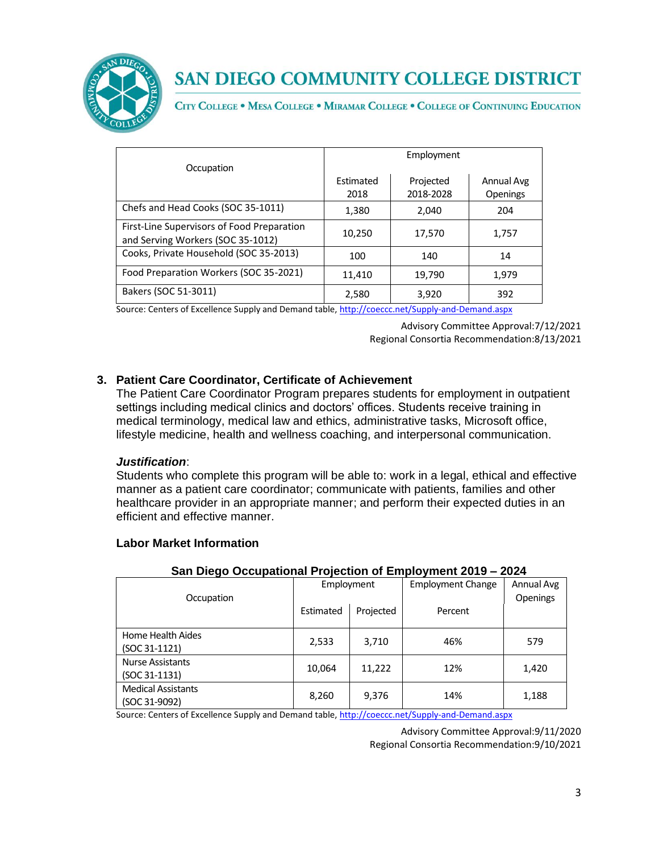

CITY COLLEGE . MESA COLLEGE . MIRAMAR COLLEGE . COLLEGE OF CONTINUING EDUCATION

|                                                                                 |                  | Employment |                 |
|---------------------------------------------------------------------------------|------------------|------------|-----------------|
| Occupation                                                                      |                  |            |                 |
|                                                                                 | <b>Fstimated</b> | Projected  | Annual Avg      |
|                                                                                 | 2018             | 2018-2028  | <b>Openings</b> |
| Chefs and Head Cooks (SOC 35-1011)                                              | 1,380            | 2,040      | 204             |
| First-Line Supervisors of Food Preparation<br>and Serving Workers (SOC 35-1012) | 10,250           | 17,570     | 1,757           |
| Cooks, Private Household (SOC 35-2013)                                          | 100              | 140        | 14              |
| Food Preparation Workers (SOC 35-2021)                                          | 11,410           | 19,790     | 1,979           |
| Bakers (SOC 51-3011)                                                            | 2,580            | 3,920      | 392             |

Source: Centers of Excellence Supply and Demand table, <http://coeccc.net/Supply-and-Demand.aspx>

Advisory Committee Approval:7/12/2021 Regional Consortia Recommendation:8/13/2021

### **3. Patient Care Coordinator, Certificate of Achievement**

The Patient Care Coordinator Program prepares students for employment in outpatient settings including medical clinics and doctors' offices. Students receive training in medical terminology, medical law and ethics, administrative tasks, Microsoft office, lifestyle medicine, health and wellness coaching, and interpersonal communication.

#### *Justification*:

Students who complete this program will be able to: work in a legal, ethical and effective manner as a patient care coordinator; communicate with patients, families and other healthcare provider in an appropriate manner; and perform their expected duties in an efficient and effective manner.

#### **Labor Market Information**

| -p.v , v =v .v                             |            |           |                          |                        |
|--------------------------------------------|------------|-----------|--------------------------|------------------------|
| Occupation                                 | Employment |           | <b>Employment Change</b> | Annual Avg<br>Openings |
|                                            | Estimated  | Projected | Percent                  |                        |
| Home Health Aides<br>(SOC 31-1121)         | 2,533      | 3,710     | 46%                      | 579                    |
| <b>Nurse Assistants</b><br>(SOC 31-1131)   | 10,064     | 11,222    | 12%                      | 1,420                  |
| <b>Medical Assistants</b><br>(SOC 31-9092) | 8,260      | 9,376     | 14%                      | 1,188                  |

#### **San Diego Occupational Projection of Employment 2019 – 2024**

Source: Centers of Excellence Supply and Demand table, <http://coeccc.net/Supply-and-Demand.aspx>

Advisory Committee Approval:9/11/2020 Regional Consortia Recommendation:9/10/2021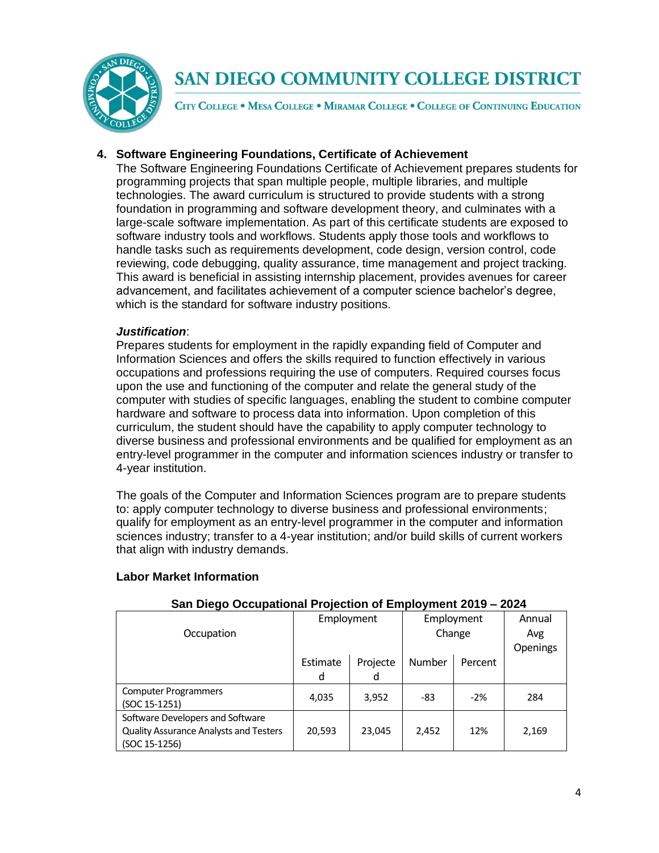

CITY COLLEGE . MESA COLLEGE . MIRAMAR COLLEGE . COLLEGE OF CONTINUING EDUCATION

## **4. Software Engineering Foundations, Certificate of Achievement**

The Software Engineering Foundations Certificate of Achievement prepares students for programming projects that span multiple people, multiple libraries, and multiple technologies. The award curriculum is structured to provide students with a strong foundation in programming and software development theory, and culminates with a large-scale software implementation. As part of this certificate students are exposed to software industry tools and workflows. Students apply those tools and workflows to handle tasks such as requirements development, code design, version control, code reviewing, code debugging, quality assurance, time management and project tracking. This award is beneficial in assisting internship placement, provides avenues for career advancement, and facilitates achievement of a computer science bachelor's degree, which is the standard for software industry positions.

#### *Justification*:

Prepares students for employment in the rapidly expanding field of Computer and Information Sciences and offers the skills required to function effectively in various occupations and professions requiring the use of computers. Required courses focus upon the use and functioning of the computer and relate the general study of the computer with studies of specific languages, enabling the student to combine computer hardware and software to process data into information. Upon completion of this curriculum, the student should have the capability to apply computer technology to diverse business and professional environments and be qualified for employment as an entry-level programmer in the computer and information sciences industry or transfer to 4-year institution.

The goals of the Computer and Information Sciences program are to prepare students to: apply computer technology to diverse business and professional environments; qualify for employment as an entry-level programmer in the computer and information sciences industry; transfer to a 4-year institution; and/or build skills of current workers that align with industry demands.

| <u> San Diego Occupational Projection or Employment 2019 – 2024</u> |            |          |        |            |          |
|---------------------------------------------------------------------|------------|----------|--------|------------|----------|
|                                                                     | Employment |          |        | Employment | Annual   |
| Occupation                                                          |            |          | Change |            | Avg      |
|                                                                     |            |          |        |            | Openings |
|                                                                     | Estimate   | Projecte | Number | Percent    |          |
|                                                                     | d          | d        |        |            |          |
| <b>Computer Programmers</b>                                         | 4,035      | 3,952    | -83    | $-2%$      | 284      |
| (SOC 15-1251)                                                       |            |          |        |            |          |
| Software Developers and Software                                    |            |          |        |            |          |
| <b>Quality Assurance Analysts and Testers</b>                       | 20,593     | 23,045   | 2,452  | 12%        | 2,169    |
| (SOC 15-1256)                                                       |            |          |        |            |          |

#### **Labor Market Information**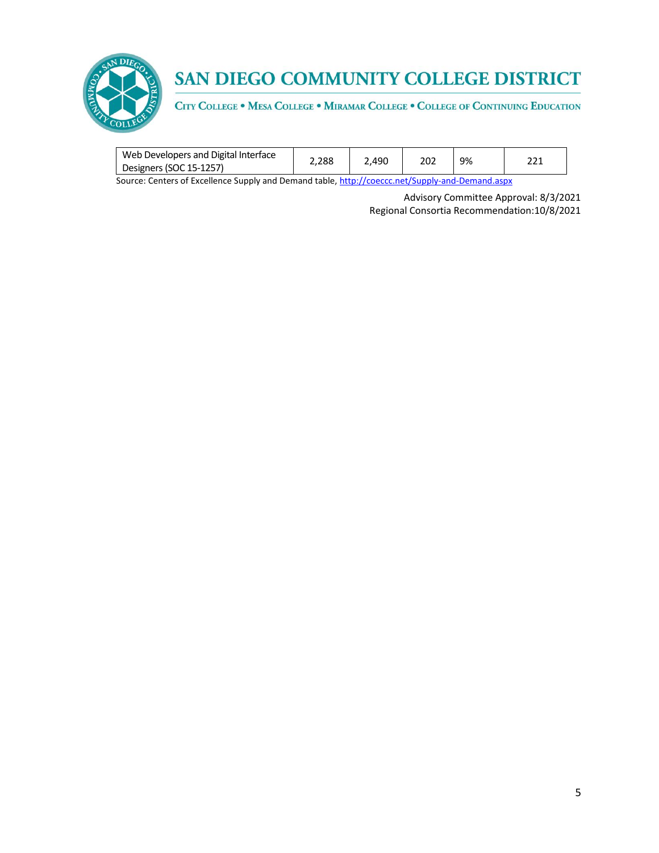

CITY COLLEGE . MESA COLLEGE . MIRAMAR COLLEGE . COLLEGE OF CONTINUING EDUCATION

| Web Developers and Digital Interface | 2.288 | 2.490 | 202 | 9% | าา1 |
|--------------------------------------|-------|-------|-----|----|-----|
| Designers (SOC 15-1257)              |       |       |     |    | -44 |

Source: Centers of Excellence Supply and Demand table, <http://coeccc.net/Supply-and-Demand.aspx>

Advisory Committee Approval: 8/3/2021 Regional Consortia Recommendation:10/8/2021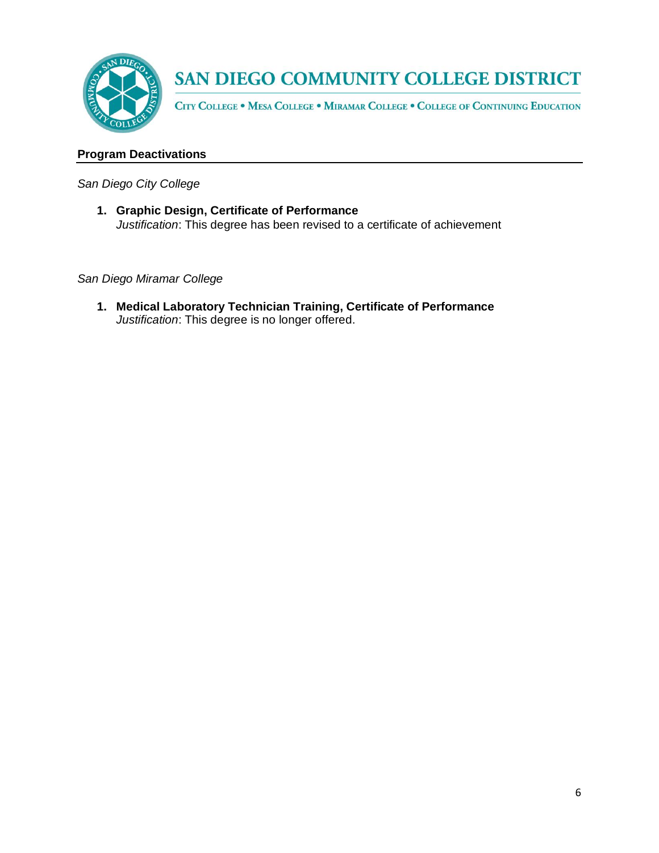

CITY COLLEGE . MESA COLLEGE . MIRAMAR COLLEGE . COLLEGE OF CONTINUING EDUCATION

### **Program Deactivations**

*San Diego City College*

**1. Graphic Design, Certificate of Performance** *Justification*: This degree has been revised to a certificate of achievement

*San Diego Miramar College*

**1. Medical Laboratory Technician Training, Certificate of Performance** *Justification*: This degree is no longer offered.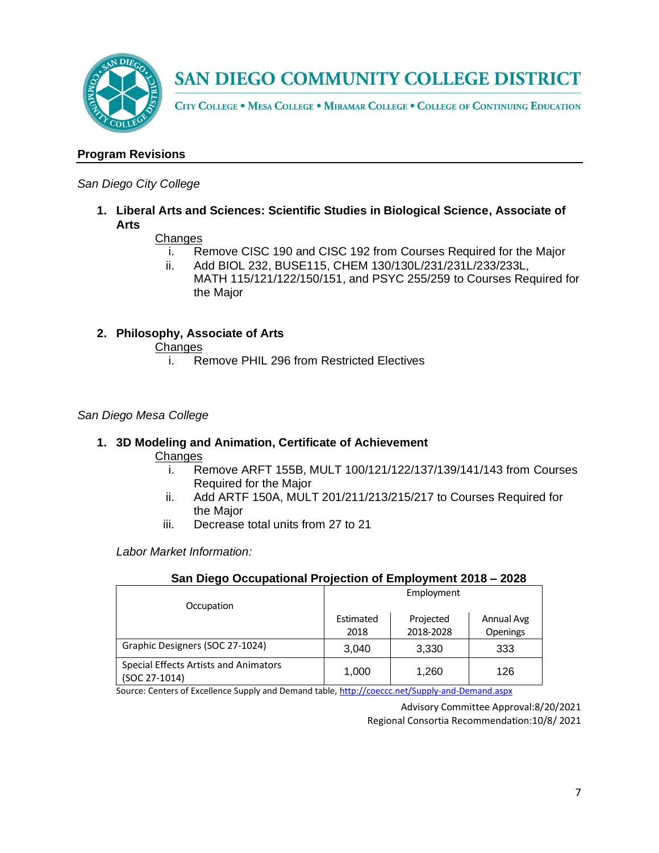

CITY COLLEGE . MESA COLLEGE . MIRAMAR COLLEGE . COLLEGE OF CONTINUING EDUCATION

## **Program Revisions**

#### *San Diego City College*

**1. Liberal Arts and Sciences: Scientific Studies in Biological Science, Associate of Arts**

#### **Changes**

- i. Remove CISC 190 and CISC 192 from Courses Required for the Major
- ii. Add BIOL 232, BUSE115, CHEM 130/130L/231/231L/233/233L, MATH 115/121/122/150/151, and PSYC 255/259 to Courses Required for the Major

#### **2. Philosophy, Associate of Arts**

**Changes** 

i. Remove PHIL 296 from Restricted Electives

#### *San Diego Mesa College*

#### **1. 3D Modeling and Animation, Certificate of Achievement**

**Changes** 

- i. Remove ARFT 155B, MULT 100/121/122/137/139/141/143 from Courses Required for the Major
- ii. Add ARTF 150A, MULT 201/211/213/215/217 to Courses Required for the Major
- iii. Decrease total units from 27 to 21

*Labor Market Information:*

| <u>Jan Diego Occupational Frojection of Employment Zoro – Zozo</u> |                   |                        |                        |  |
|--------------------------------------------------------------------|-------------------|------------------------|------------------------|--|
|                                                                    | Employment        |                        |                        |  |
| Occupation                                                         | Estimated<br>2018 | Projected<br>2018-2028 | Annual Avg<br>Openings |  |
|                                                                    |                   |                        |                        |  |
| Graphic Designers (SOC 27-1024)                                    | 3,040             | 3,330                  | 333                    |  |
| Special Effects Artists and Animators<br>(SOC 27-1014)             | 1,000             | 1.260                  | 126                    |  |

## **San Diego Occupational Projection of Employment 2018 – 2028**

Source: Centers of Excellence Supply and Demand table, <http://coeccc.net/Supply-and-Demand.aspx>

Advisory Committee Approval:8/20/2021 Regional Consortia Recommendation:10/8/ 2021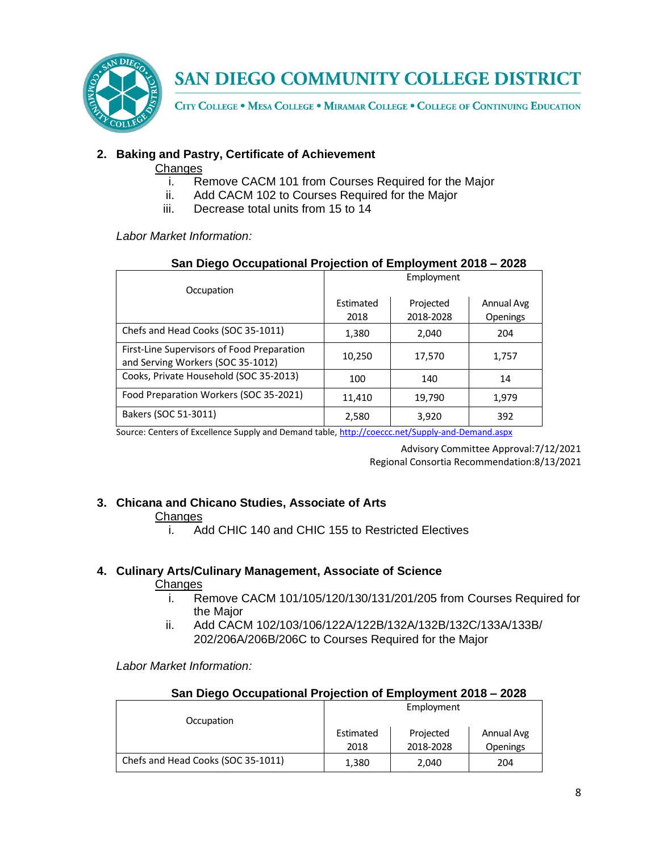

CITY COLLEGE . MESA COLLEGE . MIRAMAR COLLEGE . COLLEGE OF CONTINUING EDUCATION

## **2. Baking and Pastry, Certificate of Achievement**

#### **Changes**

- i. Remove CACM 101 from Courses Required for the Major
- ii. Add CACM 102 to Courses Required for the Major
- iii. Decrease total units from 15 to 14

*Labor Market Information:*

| San Diego Occupational Projection of Employment 2018 – 2028                     |                   |                        |                        |  |
|---------------------------------------------------------------------------------|-------------------|------------------------|------------------------|--|
| Occupation                                                                      | Employment        |                        |                        |  |
|                                                                                 | Estimated<br>2018 | Projected<br>2018-2028 | Annual Avg<br>Openings |  |
| Chefs and Head Cooks (SOC 35-1011)                                              | 1,380             | 2,040                  | 204                    |  |
| First-Line Supervisors of Food Preparation<br>and Serving Workers (SOC 35-1012) | 10,250            | 17,570                 | 1,757                  |  |
| Cooks, Private Household (SOC 35-2013)                                          | 100               | 140                    | 14                     |  |
| Food Preparation Workers (SOC 35-2021)                                          | 11,410            | 19,790                 | 1,979                  |  |
| Bakers (SOC 51-3011)                                                            | 2,580             | 3,920                  | 392                    |  |

**San Diego Occupational Projection of Employment 2018 – 2028**

Source: Centers of Excellence Supply and Demand table, <http://coeccc.net/Supply-and-Demand.aspx>

Advisory Committee Approval:7/12/2021 Regional Consortia Recommendation:8/13/2021

## **3. Chicana and Chicano Studies, Associate of Arts**

#### **Changes**

i. Add CHIC 140 and CHIC 155 to Restricted Electives

## **4. Culinary Arts/Culinary Management, Associate of Science**

#### **Changes**

- i. Remove CACM 101/105/120/130/131/201/205 from Courses Required for the Major
- ii. Add CACM 102/103/106/122A/122B/132A/132B/132C/133A/133B/ 202/206A/206B/206C to Courses Required for the Major

*Labor Market Information:*

| San Diego Occupational Projection of Employment 2018 – 2028 |           |            |                 |
|-------------------------------------------------------------|-----------|------------|-----------------|
|                                                             |           | Employment |                 |
| Occupation                                                  |           |            |                 |
|                                                             | Estimated | Projected  | Annual Avg      |
|                                                             | 2018      | 2018-2028  | <b>Openings</b> |
| Chefs and Head Cooks (SOC 35-1011)                          | 1,380     | 2,040      | 204             |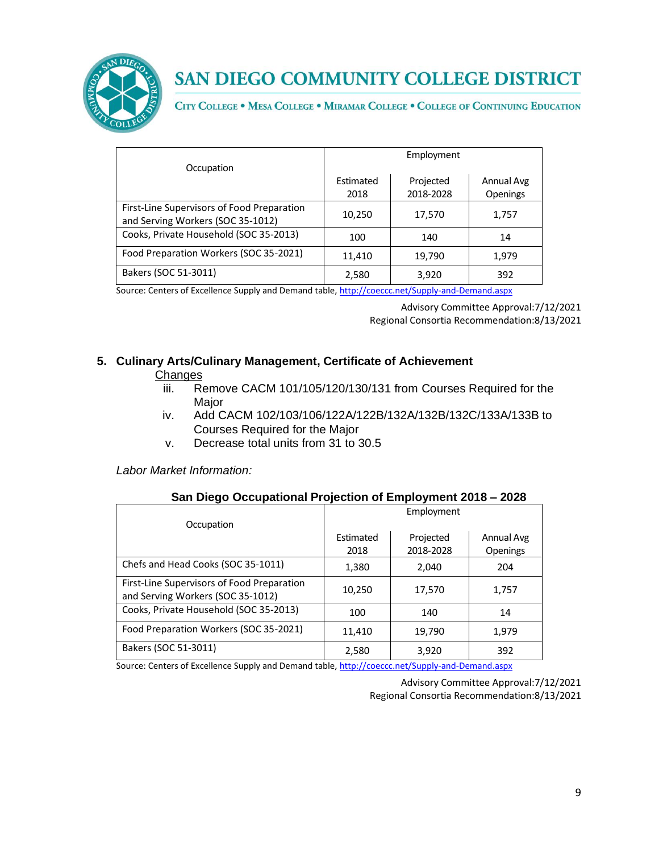

CITY COLLEGE . MESA COLLEGE . MIRAMAR COLLEGE . COLLEGE OF CONTINUING EDUCATION

|                                                                                 | Employment |           |            |
|---------------------------------------------------------------------------------|------------|-----------|------------|
| Occupation                                                                      |            |           |            |
|                                                                                 | Estimated  | Projected | Annual Avg |
|                                                                                 | 2018       | 2018-2028 | Openings   |
| First-Line Supervisors of Food Preparation<br>and Serving Workers (SOC 35-1012) | 10,250     | 17,570    | 1,757      |
| Cooks, Private Household (SOC 35-2013)                                          | 100        | 140       | 14         |
| Food Preparation Workers (SOC 35-2021)                                          | 11,410     | 19,790    | 1,979      |
| Bakers (SOC 51-3011)                                                            | 2,580      | 3,920     | 392        |

Source: Centers of Excellence Supply and Demand table, <http://coeccc.net/Supply-and-Demand.aspx>

Advisory Committee Approval:7/12/2021 Regional Consortia Recommendation:8/13/2021

## **5. Culinary Arts/Culinary Management, Certificate of Achievement**

#### **Changes**

- iii. Remove CACM 101/105/120/130/131 from Courses Required for the Major
- iv. Add CACM 102/103/106/122A/122B/132A/132B/132C/133A/133B to Courses Required for the Major
- v. Decrease total units from 31 to 30.5

*Labor Market Information:*

## **San Diego Occupational Projection of Employment 2018 – 2028**

|                                                                                 |           | Employment |                 |
|---------------------------------------------------------------------------------|-----------|------------|-----------------|
| Occupation                                                                      |           |            |                 |
|                                                                                 | Estimated | Projected  | Annual Avg      |
|                                                                                 | 2018      | 2018-2028  | <b>Openings</b> |
| Chefs and Head Cooks (SOC 35-1011)                                              | 1,380     | 2,040      | 204             |
| First-Line Supervisors of Food Preparation<br>and Serving Workers (SOC 35-1012) | 10,250    | 17,570     | 1,757           |
| Cooks, Private Household (SOC 35-2013)                                          | 100       | 140        | 14              |
| Food Preparation Workers (SOC 35-2021)                                          | 11,410    | 19,790     | 1,979           |
| Bakers (SOC 51-3011)                                                            | 2,580     | 3,920      | 392             |

Source: Centers of Excellence Supply and Demand table, <http://coeccc.net/Supply-and-Demand.aspx>

Advisory Committee Approval:7/12/2021 Regional Consortia Recommendation:8/13/2021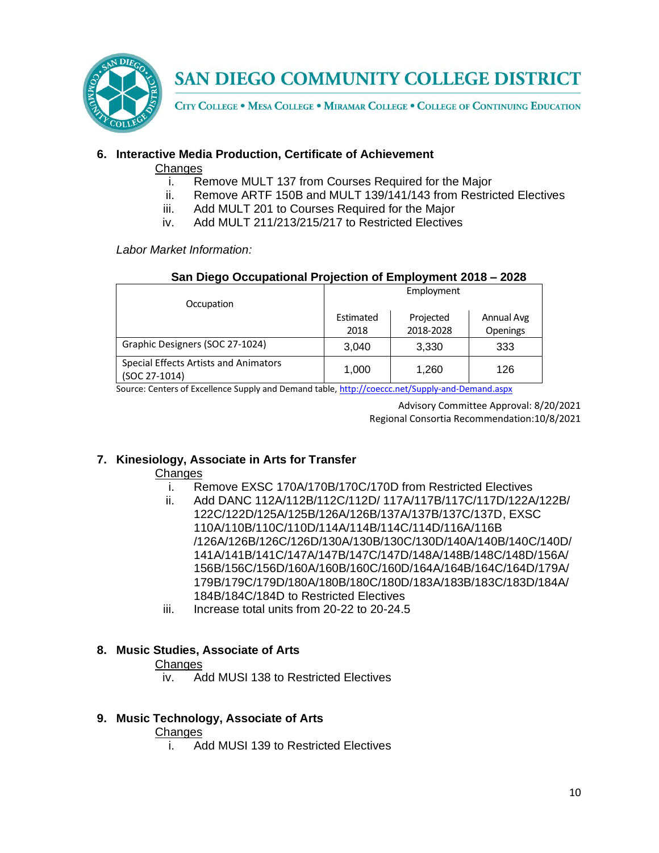

CITY COLLEGE . MESA COLLEGE . MIRAMAR COLLEGE . COLLEGE OF CONTINUING EDUCATION

### **6. Interactive Media Production, Certificate of Achievement**

#### **Changes**

- i. Remove MULT 137 from Courses Required for the Major
- ii. Remove ARTF 150B and MULT 139/141/143 from Restricted Electives
- iii. Add MULT 201 to Courses Required for the Major
- iv. Add MULT 211/213/215/217 to Restricted Electives

*Labor Market Information:*

| San Diego Occupational Projection of Employment 2018 - 2028 |            |           |            |  |
|-------------------------------------------------------------|------------|-----------|------------|--|
| Occupation                                                  | Employment |           |            |  |
|                                                             | Estimated  | Projected | Annual Avg |  |
|                                                             | 2018       | 2018-2028 | Openings   |  |
| Graphic Designers (SOC 27-1024)                             | 3,040      | 3,330     | 333        |  |
| Special Effects Artists and Animators<br>(SOC 27-1014)      | 1,000      | 1,260     | 126        |  |

Source: Centers of Excellence Supply and Demand table, <http://coeccc.net/Supply-and-Demand.aspx>

Advisory Committee Approval: 8/20/2021 Regional Consortia Recommendation:10/8/2021

## **7. Kinesiology, Associate in Arts for Transfer**

#### **Changes**

- i. Remove EXSC 170A/170B/170C/170D from Restricted Electives
- ii. Add DANC 112A/112B/112C/112D/ 117A/117B/117C/117D/122A/122B/ 122C/122D/125A/125B/126A/126B/137A/137B/137C/137D, EXSC 110A/110B/110C/110D/114A/114B/114C/114D/116A/116B /126A/126B/126C/126D/130A/130B/130C/130D/140A/140B/140C/140D/ 141A/141B/141C/147A/147B/147C/147D/148A/148B/148C/148D/156A/ 156B/156C/156D/160A/160B/160C/160D/164A/164B/164C/164D/179A/ 179B/179C/179D/180A/180B/180C/180D/183A/183B/183C/183D/184A/ 184B/184C/184D to Restricted Electives
- iii. Increase total units from 20-22 to 20-24.5

#### **8. Music Studies, Associate of Arts**

#### **Changes**

iv. Add MUSI 138 to Restricted Electives

#### **9. Music Technology, Associate of Arts**

#### **Changes**

i. Add MUSI 139 to Restricted Electives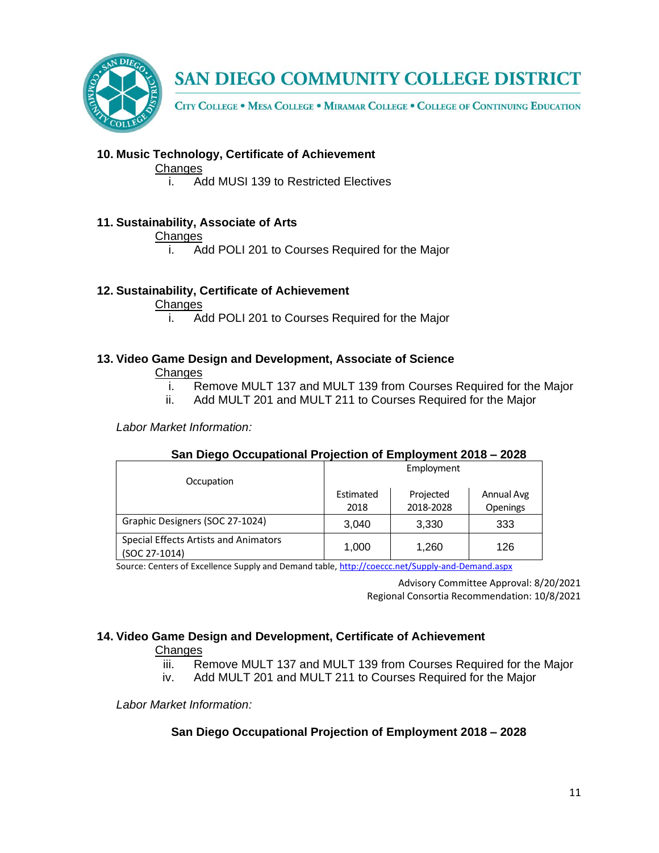

CITY COLLEGE . MESA COLLEGE . MIRAMAR COLLEGE . COLLEGE OF CONTINUING EDUCATION

### **10. Music Technology, Certificate of Achievement**

#### **Changes**

i. Add MUSI 139 to Restricted Electives

#### **11. Sustainability, Associate of Arts**

#### **Changes**

i. Add POLI 201 to Courses Required for the Major

#### **12. Sustainability, Certificate of Achievement**

#### **Changes**

i. Add POLI 201 to Courses Required for the Major

### **13. Video Game Design and Development, Associate of Science**

#### **Changes**

- i. Remove MULT 137 and MULT 139 from Courses Required for the Major
- ii. Add MULT 201 and MULT 211 to Courses Required for the Major

*Labor Market Information:*

#### **San Diego Occupational Projection of Employment 2018 – 2028**

| Occupation                                             | Employment        |                        |                               |
|--------------------------------------------------------|-------------------|------------------------|-------------------------------|
|                                                        | Estimated<br>2018 | Projected<br>2018-2028 | Annual Avg<br><b>Openings</b> |
| Graphic Designers (SOC 27-1024)                        | 3,040             | 3,330                  | 333                           |
| Special Effects Artists and Animators<br>(SOC 27-1014) | 1,000             | 1,260                  | 126                           |

Source: Centers of Excellence Supply and Demand table, <http://coeccc.net/Supply-and-Demand.aspx>

Advisory Committee Approval: 8/20/2021 Regional Consortia Recommendation: 10/8/2021

## **14. Video Game Design and Development, Certificate of Achievement**

#### **Changes**

- iii. Remove MULT 137 and MULT 139 from Courses Required for the Major
- iv. Add MULT 201 and MULT 211 to Courses Required for the Major

*Labor Market Information:*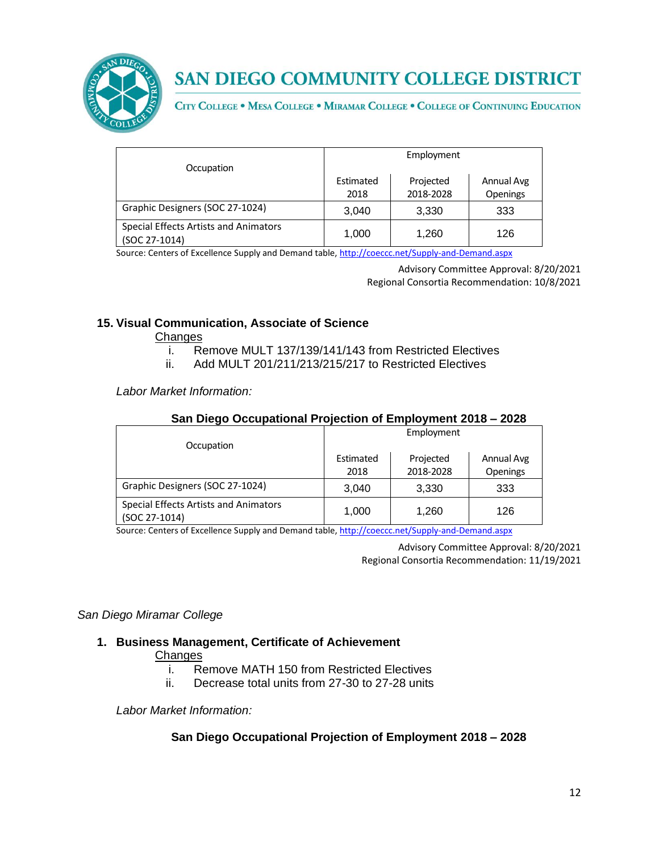

CITY COLLEGE . MESA COLLEGE . MIRAMAR COLLEGE . COLLEGE OF CONTINUING EDUCATION

|                                                        | Employment |           |            |
|--------------------------------------------------------|------------|-----------|------------|
| Occupation                                             |            |           |            |
|                                                        | Estimated  | Projected | Annual Avg |
|                                                        | 2018       | 2018-2028 | Openings   |
| Graphic Designers (SOC 27-1024)                        | 3.040      | 3.330     | 333        |
| Special Effects Artists and Animators<br>(SOC 27-1014) | 1,000      | 1.260     | 126        |

Source: Centers of Excellence Supply and Demand table, <http://coeccc.net/Supply-and-Demand.aspx>

Advisory Committee Approval: 8/20/2021 Regional Consortia Recommendation: 10/8/2021

### **15. Visual Communication, Associate of Science**

Changes

- i. Remove MULT 137/139/141/143 from Restricted Electives
- ii. Add MULT 201/211/213/215/217 to Restricted Electives

*Labor Market Information:*

| San Diego Occupational Projection of Employment 2018 – 2028 |            |           |            |
|-------------------------------------------------------------|------------|-----------|------------|
| Occupation                                                  | Employment |           |            |
|                                                             | Estimated  | Projected | Annual Avg |
|                                                             | 2018       | 2018-2028 | Openings   |
| Graphic Designers (SOC 27-1024)                             | 3,040      | 3,330     | 333        |
| Special Effects Artists and Animators<br>(SOC 27-1014)      | 1,000      | 1.260     | 126        |

#### **San Diego Occupational Projection of Employment 2018 – 2028**

Source: Centers of Excellence Supply and Demand table, <http://coeccc.net/Supply-and-Demand.aspx>

Advisory Committee Approval: 8/20/2021 Regional Consortia Recommendation: 11/19/2021

#### *San Diego Miramar College*

## **1. Business Management, Certificate of Achievement**

#### **Changes**

- i. Remove MATH 150 from Restricted Electives
- ii. Decrease total units from 27-30 to 27-28 units

*Labor Market Information:*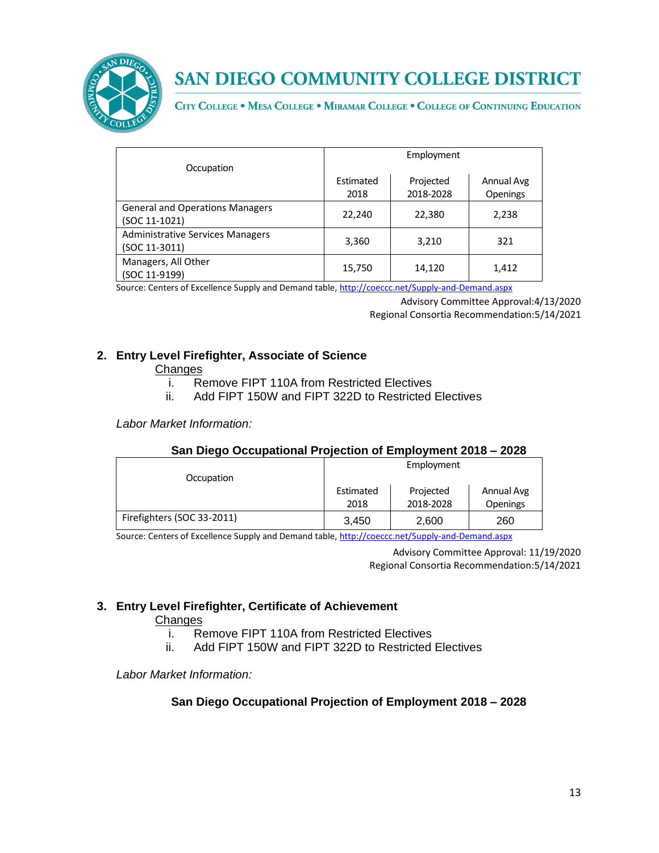

CITY COLLEGE . MESA COLLEGE . MIRAMAR COLLEGE . COLLEGE OF CONTINUING EDUCATION

|                                                          | Employment |           |                 |
|----------------------------------------------------------|------------|-----------|-----------------|
| Occupation                                               |            |           |                 |
|                                                          | Estimated  | Projected | Annual Avg      |
|                                                          | 2018       | 2018-2028 | <b>Openings</b> |
| <b>General and Operations Managers</b><br>(SOC 11-1021)  | 22,240     | 22,380    | 2,238           |
| <b>Administrative Services Managers</b><br>(SOC 11-3011) | 3,360      | 3,210     | 321             |
| Managers, All Other<br>(SOC 11-9199)                     | 15,750     | 14,120    | 1,412           |

Source: Centers of Excellence Supply and Demand table, <http://coeccc.net/Supply-and-Demand.aspx>

Advisory Committee Approval:4/13/2020 Regional Consortia Recommendation:5/14/2021

## **2. Entry Level Firefighter, Associate of Science**

#### **Changes**

- i. Remove FIPT 110A from Restricted Electives
- ii. Add FIPT 150W and FIPT 322D to Restricted Electives

*Labor Market Information:*

#### **San Diego Occupational Projection of Employment 2018 – 2028**

|                            | Employment |           |            |
|----------------------------|------------|-----------|------------|
| Occupation                 |            |           |            |
|                            | Estimated  | Projected | Annual Avg |
|                            | 2018       | 2018-2028 | Openings   |
| Firefighters (SOC 33-2011) | 3,450      | 2,600     | 260        |

Source: Centers of Excellence Supply and Demand table, <http://coeccc.net/Supply-and-Demand.aspx>

Advisory Committee Approval: 11/19/2020 Regional Consortia Recommendation:5/14/2021

## **3. Entry Level Firefighter, Certificate of Achievement**

#### **Changes**

- i. Remove FIPT 110A from Restricted Electives
- ii. Add FIPT 150W and FIPT 322D to Restricted Electives

*Labor Market Information:*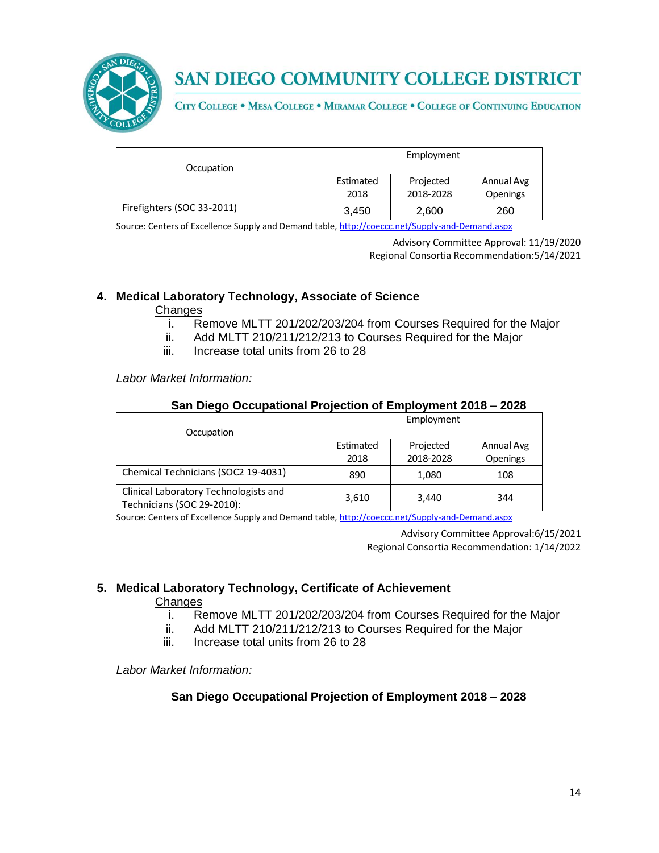

CITY COLLEGE . MESA COLLEGE . MIRAMAR COLLEGE . COLLEGE OF CONTINUING EDUCATION

|                            | Employment |           |            |
|----------------------------|------------|-----------|------------|
| Occupation                 |            |           |            |
|                            | Estimated  | Projected | Annual Avg |
|                            | 2018       | 2018-2028 | Openings   |
| Firefighters (SOC 33-2011) | 3,450      | 2,600     | 260        |

Source: Centers of Excellence Supply and Demand table, <http://coeccc.net/Supply-and-Demand.aspx>

Advisory Committee Approval: 11/19/2020 Regional Consortia Recommendation:5/14/2021

## **4. Medical Laboratory Technology, Associate of Science**

#### **Changes**

- i. Remove MLTT 201/202/203/204 from Courses Required for the Major
- ii. Add MLTT 210/211/212/213 to Courses Required for the Major
- iii. Increase total units from 26 to 28

*Labor Market Information:*

### **San Diego Occupational Projection of Employment 2018 – 2028**

|                                                                     | Employment |           |            |
|---------------------------------------------------------------------|------------|-----------|------------|
| Occupation                                                          |            |           |            |
|                                                                     | Estimated  | Projected | Annual Avg |
|                                                                     | 2018       | 2018-2028 | Openings   |
| Chemical Technicians (SOC2 19-4031)                                 | 890        | 1,080     | 108        |
| Clinical Laboratory Technologists and<br>Technicians (SOC 29-2010): | 3,610      | 3,440     | 344        |

Source: Centers of Excellence Supply and Demand table, <http://coeccc.net/Supply-and-Demand.aspx>

Advisory Committee Approval:6/15/2021 Regional Consortia Recommendation: 1/14/2022

## **5. Medical Laboratory Technology, Certificate of Achievement**

#### **Changes**

- i. Remove MLTT 201/202/203/204 from Courses Required for the Major
- ii. Add MLTT 210/211/212/213 to Courses Required for the Major
- iii. Increase total units from 26 to 28

*Labor Market Information:*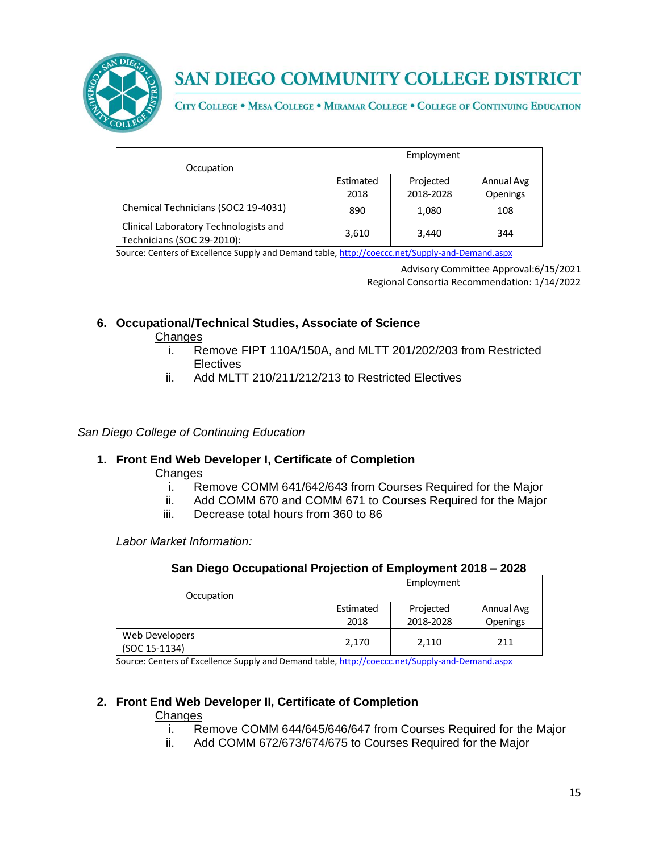

CITY COLLEGE . MESA COLLEGE . MIRAMAR COLLEGE . COLLEGE OF CONTINUING EDUCATION

|                                                                     |                   | Employment             |                               |
|---------------------------------------------------------------------|-------------------|------------------------|-------------------------------|
| Occupation                                                          | Estimated<br>2018 | Projected<br>2018-2028 | Annual Avg<br><b>Openings</b> |
| Chemical Technicians (SOC2 19-4031)                                 | 890               | 1,080                  | 108                           |
| Clinical Laboratory Technologists and<br>Technicians (SOC 29-2010): | 3,610             | 3,440                  | 344                           |

Source: Centers of Excellence Supply and Demand table, <http://coeccc.net/Supply-and-Demand.aspx>

Advisory Committee Approval:6/15/2021 Regional Consortia Recommendation: 1/14/2022

## **6. Occupational/Technical Studies, Associate of Science**

**Changes** 

- i. Remove FIPT 110A/150A, and MLTT 201/202/203 from Restricted **Electives**
- ii. Add MLTT 210/211/212/213 to Restricted Electives

### *San Diego College of Continuing Education*

## **1. Front End Web Developer I, Certificate of Completion**

#### **Changes**

- i. Remove COMM 641/642/643 from Courses Required for the Major
- ii. Add COMM 670 and COMM 671 to Courses Required for the Major
- iii. Decrease total hours from 360 to 86

*Labor Market Information:*

#### **San Diego Occupational Projection of Employment 2018 – 2028**

| Occupation                      | Employment        |                        |                               |
|---------------------------------|-------------------|------------------------|-------------------------------|
|                                 | Estimated<br>2018 | Projected<br>2018-2028 | Annual Avg<br><b>Openings</b> |
| Web Developers<br>(SOC 15-1134) | 2.170             | 2,110                  | 211                           |

Source: Centers of Excellence Supply and Demand table, <http://coeccc.net/Supply-and-Demand.aspx>

## **2. Front End Web Developer II, Certificate of Completion**

#### **Changes**

- i. Remove COMM 644/645/646/647 from Courses Required for the Major
- ii. Add COMM 672/673/674/675 to Courses Required for the Major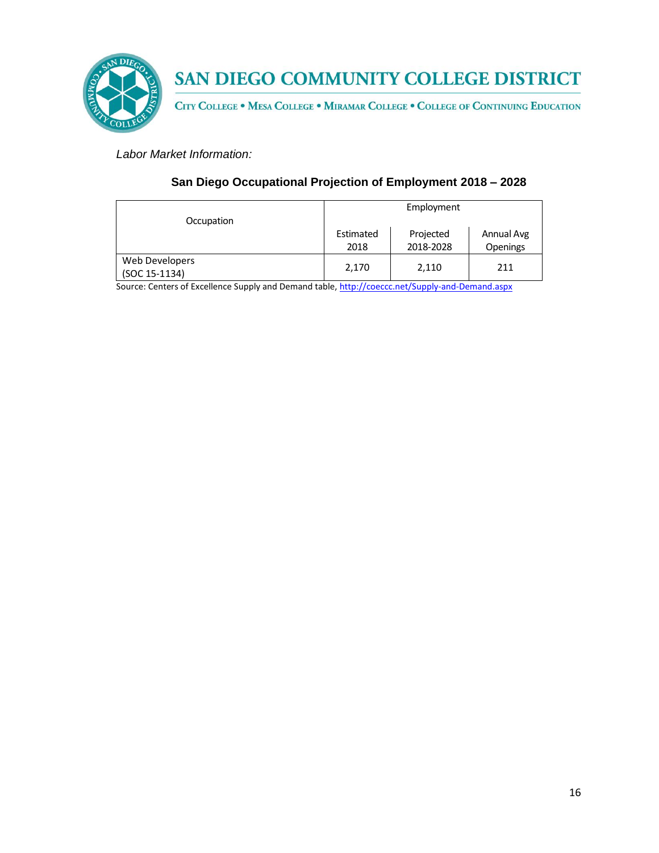

CITY COLLEGE . MESA COLLEGE . MIRAMAR COLLEGE . COLLEGE OF CONTINUING EDUCATION

*Labor Market Information:*

## **San Diego Occupational Projection of Employment 2018 – 2028**

| Occupation                      | Employment        |                        |                               |
|---------------------------------|-------------------|------------------------|-------------------------------|
|                                 | Estimated<br>2018 | Projected<br>2018-2028 | Annual Avg<br><b>Openings</b> |
| Web Developers<br>(SOC 15-1134) | 2,170             | 2,110                  | 211                           |

Source: Centers of Excellence Supply and Demand table, <http://coeccc.net/Supply-and-Demand.aspx>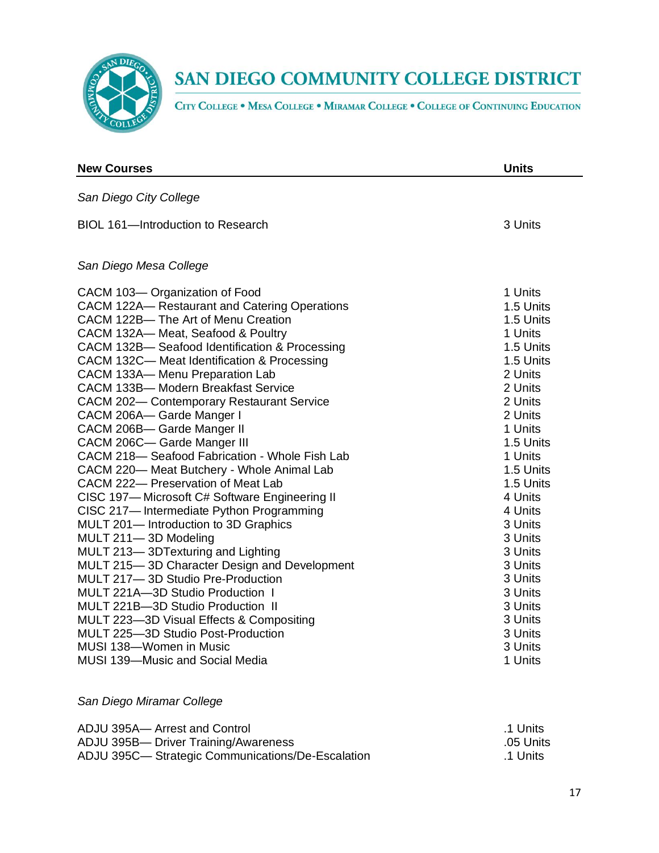

CITY COLLEGE . MESA COLLEGE . MIRAMAR COLLEGE . COLLEGE OF CONTINUING EDUCATION

| <b>New Courses</b>                             | <b>Units</b> |
|------------------------------------------------|--------------|
| San Diego City College                         |              |
| <b>BIOL 161-Introduction to Research</b>       | 3 Units      |
| San Diego Mesa College                         |              |
| CACM 103-Organization of Food                  | 1 Units      |
| CACM 122A-Restaurant and Catering Operations   | 1.5 Units    |
| CACM 122B-The Art of Menu Creation             | 1.5 Units    |
| CACM 132A-Meat, Seafood & Poultry              | 1 Units      |
| CACM 132B- Seafood Identification & Processing | 1.5 Units    |
| CACM 132C- Meat Identification & Processing    | 1.5 Units    |
| CACM 133A-Menu Preparation Lab                 | 2 Units      |
| CACM 133B- Modern Breakfast Service            | 2 Units      |
| CACM 202-Contemporary Restaurant Service       | 2 Units      |
| CACM 206A- Garde Manger I                      | 2 Units      |
| CACM 206B- Garde Manger II                     | 1 Units      |
| CACM 206C- Garde Manger III                    | 1.5 Units    |
| CACM 218- Seafood Fabrication - Whole Fish Lab | 1 Units      |
| CACM 220-Meat Butchery - Whole Animal Lab      | 1.5 Units    |
| CACM 222- Preservation of Meat Lab             | 1.5 Units    |
| CISC 197-Microsoft C# Software Engineering II  | 4 Units      |
| CISC 217-Intermediate Python Programming       | 4 Units      |
| MULT 201- Introduction to 3D Graphics          | 3 Units      |
| MULT 211-3D Modeling                           | 3 Units      |
| MULT 213-3DTexturing and Lighting              | 3 Units      |
| MULT 215-3D Character Design and Development   | 3 Units      |
| MULT 217-3D Studio Pre-Production              | 3 Units      |
| MULT 221A-3D Studio Production 1               | 3 Units      |
| MULT 221B-3D Studio Production II              | 3 Units      |
| MULT 223-3D Visual Effects & Compositing       | 3 Units      |
| MULT 225-3D Studio Post-Production             | 3 Units      |
| MUSI 138-Women in Music                        | 3 Units      |
| <b>MUSI 139-Music and Social Media</b>         | 1 Units      |

## *San Diego Miramar College*

| ADJU 395A- Arrest and Control                    | .1 Units  |
|--------------------------------------------------|-----------|
| ADJU 395B- Driver Training/Awareness             | .05 Units |
| ADJU 395C-Strategic Communications/De-Escalation | .1 Units  |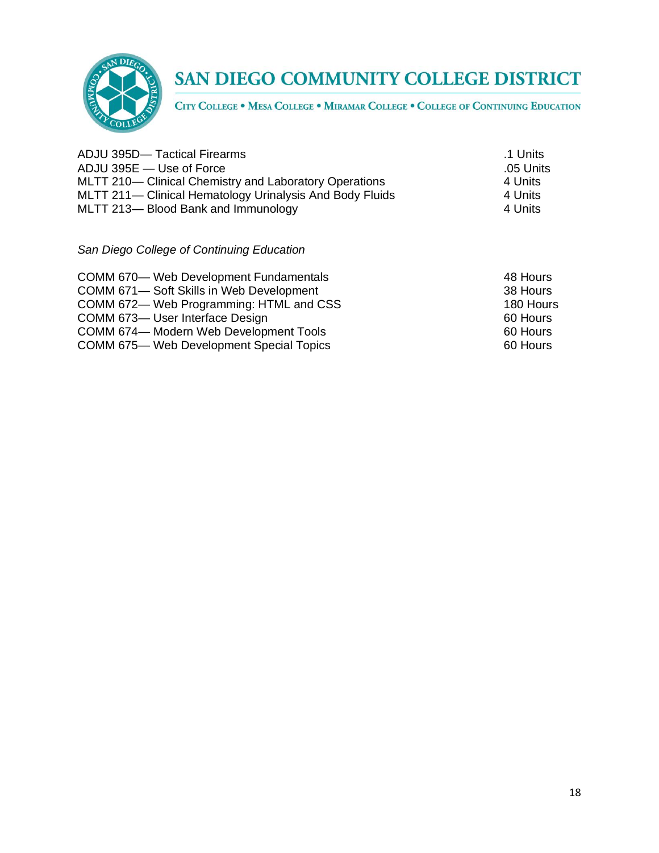

CITY COLLEGE . MESA COLLEGE . MIRAMAR COLLEGE . COLLEGE OF CONTINUING EDUCATION

| ADJU 395D-Tactical Firearms                              | .1 Units  |
|----------------------------------------------------------|-----------|
| ADJU 395E — Use of Force                                 | .05 Units |
| MLTT 210— Clinical Chemistry and Laboratory Operations   | 4 Units   |
| MLTT 211— Clinical Hematology Urinalysis And Body Fluids | 4 Units   |
| MLTT 213-Blood Bank and Immunology                       | 4 Units   |
|                                                          |           |

*San Diego College of Continuing Education*

| COMM 670— Web Development Fundamentals   | 48 Hours  |
|------------------------------------------|-----------|
| COMM 671-Soft Skills in Web Development  | 38 Hours  |
| COMM 672— Web Programming: HTML and CSS  | 180 Hours |
| COMM 673-User Interface Design           | 60 Hours  |
| COMM 674-Modern Web Development Tools    | 60 Hours  |
| COMM 675— Web Development Special Topics | 60 Hours  |